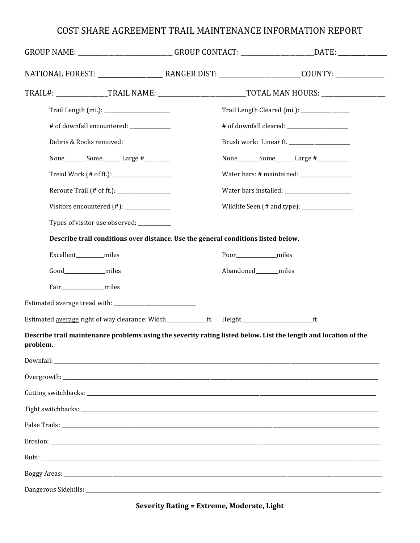## COST SHARE AGREEMENT TRAIL MAINTENANCE INFORMATION REPORT

|                                                                                   |  | GROUP NAME: ___________________________GROUP CONTACT: ______________________DATE: _________________             |
|-----------------------------------------------------------------------------------|--|-----------------------------------------------------------------------------------------------------------------|
|                                                                                   |  |                                                                                                                 |
|                                                                                   |  |                                                                                                                 |
|                                                                                   |  | Trail Length Cleared (mi.): ________________                                                                    |
| # of downfall encountered: _____________                                          |  |                                                                                                                 |
| Debris & Rocks removed:                                                           |  |                                                                                                                 |
| None_________ Some________ Large #__________                                      |  | None__________ Some_________ Large #_____________                                                               |
|                                                                                   |  |                                                                                                                 |
|                                                                                   |  |                                                                                                                 |
|                                                                                   |  |                                                                                                                 |
| Types of visitor use observed: __________                                         |  |                                                                                                                 |
| Describe trail conditions over distance. Use the general conditions listed below. |  |                                                                                                                 |
| Excellent________miles                                                            |  | Poor_________________miles                                                                                      |
| Good_________________miles                                                        |  | Abandoned_______miles                                                                                           |
| Fair__________________miles                                                       |  |                                                                                                                 |
|                                                                                   |  |                                                                                                                 |
|                                                                                   |  |                                                                                                                 |
| problem.                                                                          |  | Describe trail maintenance problems using the severity rating listed below. List the length and location of the |
|                                                                                   |  |                                                                                                                 |
|                                                                                   |  |                                                                                                                 |
|                                                                                   |  |                                                                                                                 |
|                                                                                   |  |                                                                                                                 |
|                                                                                   |  |                                                                                                                 |
|                                                                                   |  |                                                                                                                 |
|                                                                                   |  |                                                                                                                 |
|                                                                                   |  |                                                                                                                 |
|                                                                                   |  |                                                                                                                 |